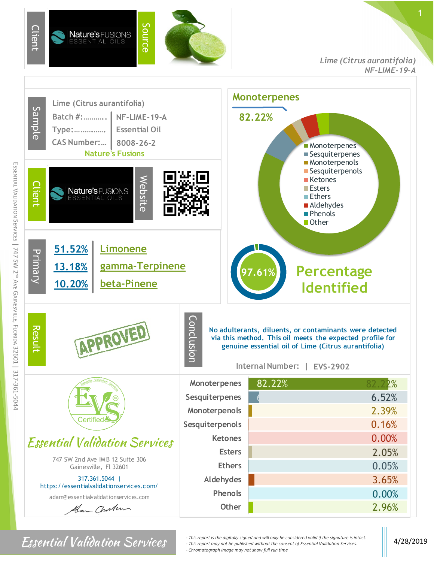

## *Lime (Citrus aurantifolia) NF-LIME-19-A*



ESSENTIAL

*For Sential Validation Services*  $\cdot$  <sup>*- This report is the digitally signed and will only be considered valid if the signature is intact.* 4/28/2019</sup> *- This report may not be published without the consent of Essential Validation Services. - Chromatograph image may not show full run time*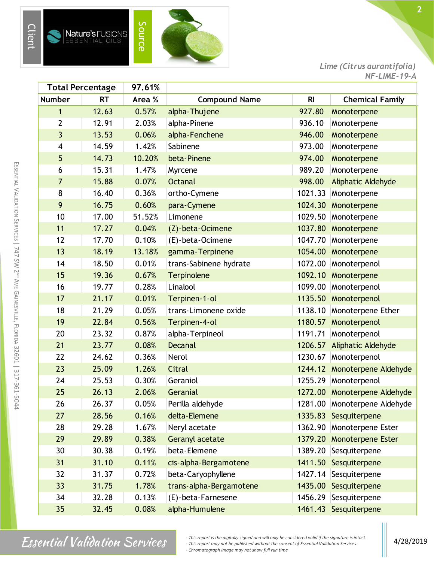



*Lime (Citrus aurantifolia) NF-LIME-19-A*

| <b>Total Percentage</b> |           | 97.61% |                         |                |                              |
|-------------------------|-----------|--------|-------------------------|----------------|------------------------------|
| <b>Number</b>           | <b>RT</b> | Area % | <b>Compound Name</b>    | R <sub>l</sub> | <b>Chemical Family</b>       |
| $\mathbf{1}$            | 12.63     | 0.57%  | alpha-Thujene           | 927.80         | Monoterpene                  |
| $\overline{2}$          | 12.91     | 2.03%  | alpha-Pinene            | 936.10         | Monoterpene                  |
| 3                       | 13.53     | 0.06%  | alpha-Fenchene          | 946.00         | Monoterpene                  |
| 4                       | 14.59     | 1.42%  | Sabinene                | 973.00         | Monoterpene                  |
| 5                       | 14.73     | 10.20% | beta-Pinene             | 974.00         | Monoterpene                  |
| 6                       | 15.31     | 1.47%  | Myrcene                 | 989.20         | Monoterpene                  |
| $\overline{7}$          | 15.88     | 0.07%  | <b>Octanal</b>          | 998.00         | <b>Aliphatic Aldehyde</b>    |
| 8                       | 16.40     | 0.36%  | ortho-Cymene            | 1021.33        | Monoterpene                  |
| 9                       | 16.75     | 0.60%  | para-Cymene             |                | 1024.30 Monoterpene          |
| 10                      | 17.00     | 51.52% | Limonene                | 1029.50        | Monoterpene                  |
| 11                      | 17.27     | 0.04%  | (Z)-beta-Ocimene        | 1037.80        | Monoterpene                  |
| 12                      | 17.70     | 0.10%  | (E)-beta-Ocimene        | 1047.70        | Monoterpene                  |
| 13                      | 18.19     | 13.18% | gamma-Terpinene         | 1054.00        | Monoterpene                  |
| 14                      | 18.50     | 0.01%  | trans-Sabinene hydrate  | 1072.00        | Monoterpenol                 |
| 15                      | 19.36     | 0.67%  | Terpinolene             | 1092.10        | Monoterpene                  |
| 16                      | 19.77     | 0.28%  | Linalool                | 1099.00        | Monoterpenol                 |
| 17                      | 21.17     | 0.01%  | Terpinen-1-ol           |                | 1135.50 Monoterpenol         |
| 18                      | 21.29     | 0.05%  | trans-Limonene oxide    | 1138.10        | Monoterpene Ether            |
| 19                      | 22.84     | 0.56%  | Terpinen-4-ol           | 1180.57        | Monoterpenol                 |
| 20                      | 23.32     | 0.87%  | alpha-Terpineol         | 1191.71        | Monoterpenol                 |
| 21                      | 23.77     | 0.08%  | <b>Decanal</b>          |                | 1206.57 Aliphatic Aldehyde   |
| 22                      | 24.62     | 0.36%  | Nerol                   | 1230.67        | Monoterpenol                 |
| 23                      | 25.09     | 1.26%  | Citral                  | 1244.12        | Monoterpene Aldehyde         |
| 24                      | 25.53     | 0.30%  | Geraniol                | 1255.29        | Monoterpenol                 |
| 25                      | 26.13     | 2.06%  | Geranial                |                | 1272.00 Monoterpene Aldehyde |
| 26                      | 26.37     | 0.05%  | Perilla aldehyde        |                | 1281.00 Monoterpene Aldehyde |
| 27                      | 28.56     | 0.16%  | delta-Elemene           |                | 1335.83 Sesquiterpene        |
| 28                      | 29.28     | 1.67%  | Neryl acetate           | 1362.90        | Monoterpene Ester            |
| 29                      | 29.89     | 0.38%  | <b>Geranyl acetate</b>  |                | 1379.20 Monoterpene Ester    |
| 30                      | 30.38     | 0.19%  | beta-Elemene            |                | 1389.20 Sesquiterpene        |
| 31                      | 31.10     | 0.11%  | cis-alpha-Bergamotene   |                | 1411.50 Sesquiterpene        |
| 32                      | 31.37     | 0.72%  | beta-Caryophyllene      |                | 1427.14 Sesquiterpene        |
| 33                      | 31.75     | 1.78%  | trans-alpha-Bergamotene |                | 1435.00 Sesquiterpene        |
| 34                      | 32.28     | 0.13%  | (E)-beta-Farnesene      |                | 1456.29 Sesquiterpene        |
| 35                      | 32.45     | 0.08%  | alpha-Humulene          |                | 1461.43 Sesquiterpene        |